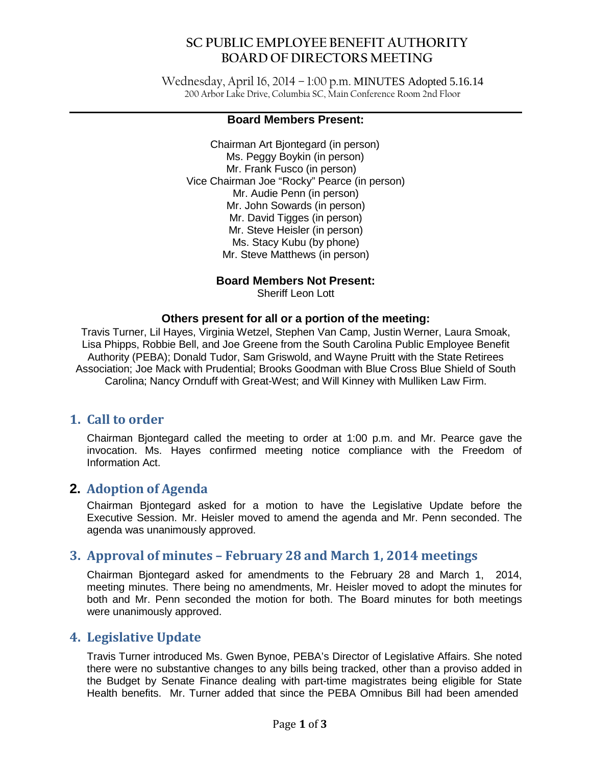Wednesday, April 16, 2014 – 1:00 p.m. MINUTES Adopted 5.16.14 200 Arbor Lake Drive, Columbia SC, Main Conference Room 2nd Floor

#### **Board Members Present:**

Chairman Art Bjontegard (in person) Ms. Peggy Boykin (in person) Mr. Frank Fusco (in person) Vice Chairman Joe "Rocky" Pearce (in person) Mr. Audie Penn (in person) Mr. John Sowards (in person) Mr. David Tigges (in person) Mr. Steve Heisler (in person) Ms. Stacy Kubu (by phone) Mr. Steve Matthews (in person)

### **Board Members Not Present:**

Sheriff Leon Lott

#### **Others present for all or a portion of the meeting:**

Travis Turner, Lil Hayes, Virginia Wetzel, Stephen Van Camp, Justin Werner, Laura Smoak, Lisa Phipps, Robbie Bell, and Joe Greene from the South Carolina Public Employee Benefit Authority (PEBA); Donald Tudor, Sam Griswold, and Wayne Pruitt with the State Retirees Association; Joe Mack with Prudential; Brooks Goodman with Blue Cross Blue Shield of South Carolina; Nancy Ornduff with Great-West; and Will Kinney with Mulliken Law Firm.

## **1. Call to order**

Chairman Bjontegard called the meeting to order at 1:00 p.m. and Mr. Pearce gave the invocation. Ms. Hayes confirmed meeting notice compliance with the Freedom of Information Act.

## **2. Adoption of Agenda**

Chairman Bjontegard asked for a motion to have the Legislative Update before the Executive Session. Mr. Heisler moved to amend the agenda and Mr. Penn seconded. The agenda was unanimously approved.

## **3. Approval of minutes – February 28 and March 1, 2014 meetings**

Chairman Bjontegard asked for amendments to the February 28 and March 1, 2014, meeting minutes. There being no amendments, Mr. Heisler moved to adopt the minutes for both and Mr. Penn seconded the motion for both. The Board minutes for both meetings were unanimously approved.

## **4. Legislative Update**

Travis Turner introduced Ms. Gwen Bynoe, PEBA's Director of Legislative Affairs. She noted there were no substantive changes to any bills being tracked, other than a proviso added in the Budget by Senate Finance dealing with part-time magistrates being eligible for State Health benefits. Mr. Turner added that since the PEBA Omnibus Bill had been amended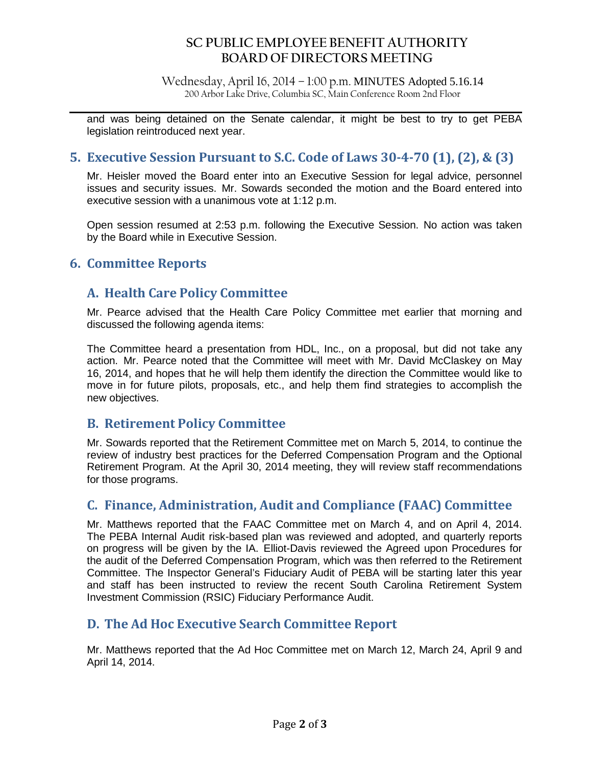Wednesday, April 16, 2014 – 1:00 p.m. MINUTES Adopted 5.16.14 200 Arbor Lake Drive, Columbia SC, Main Conference Room 2nd Floor

and was being detained on the Senate calendar, it might be best to try to get PEBA legislation reintroduced next year.

## **5. Executive Session Pursuant to S.C. Code of Laws 30-4-70 (1), (2), & (3)**

Mr. Heisler moved the Board enter into an Executive Session for legal advice, personnel issues and security issues. Mr. Sowards seconded the motion and the Board entered into executive session with a unanimous vote at 1:12 p.m.

Open session resumed at 2:53 p.m. following the Executive Session. No action was taken by the Board while in Executive Session.

## **6. Committee Reports**

## **A. Health Care Policy Committee**

Mr. Pearce advised that the Health Care Policy Committee met earlier that morning and discussed the following agenda items:

The Committee heard a presentation from HDL, Inc., on a proposal, but did not take any action. Mr. Pearce noted that the Committee will meet with Mr. David McClaskey on May 16, 2014, and hopes that he will help them identify the direction the Committee would like to move in for future pilots, proposals, etc., and help them find strategies to accomplish the new objectives.

## **B. Retirement Policy Committee**

Mr. Sowards reported that the Retirement Committee met on March 5, 2014, to continue the review of industry best practices for the Deferred Compensation Program and the Optional Retirement Program. At the April 30, 2014 meeting, they will review staff recommendations for those programs.

# **C. Finance, Administration, Audit and Compliance (FAAC) Committee**

Mr. Matthews reported that the FAAC Committee met on March 4, and on April 4, 2014. The PEBA Internal Audit risk-based plan was reviewed and adopted, and quarterly reports on progress will be given by the IA. Elliot-Davis reviewed the Agreed upon Procedures for the audit of the Deferred Compensation Program, which was then referred to the Retirement Committee. The Inspector General's Fiduciary Audit of PEBA will be starting later this year and staff has been instructed to review the recent South Carolina Retirement System Investment Commission (RSIC) Fiduciary Performance Audit.

## **D. The Ad Hoc Executive Search Committee Report**

Mr. Matthews reported that the Ad Hoc Committee met on March 12, March 24, April 9 and April 14, 2014.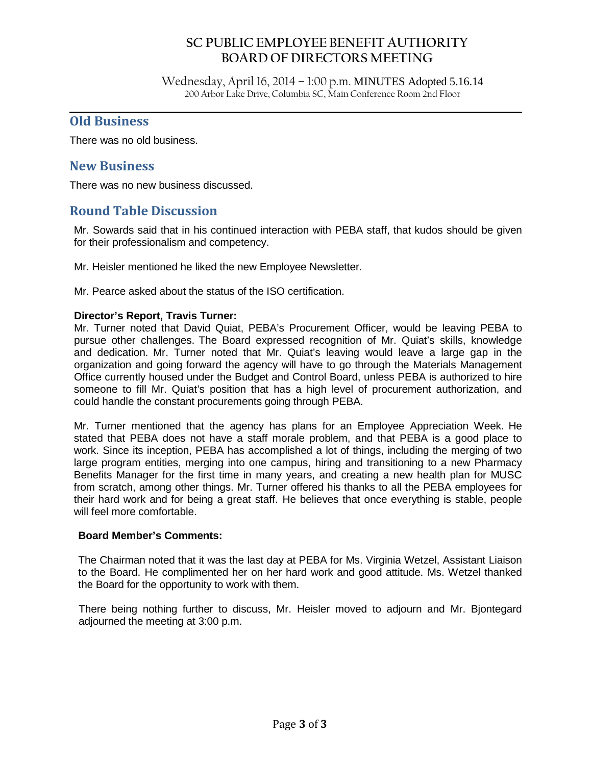Wednesday, April 16, 2014 – 1:00 p.m. MINUTES Adopted 5.16.14 200 Arbor Lake Drive, Columbia SC, Main Conference Room 2nd Floor

### **Old Business**

There was no old business.

## **New Business**

There was no new business discussed.

## **Round Table Discussion**

Mr. Sowards said that in his continued interaction with PEBA staff, that kudos should be given for their professionalism and competency.

Mr. Heisler mentioned he liked the new Employee Newsletter.

Mr. Pearce asked about the status of the ISO certification.

#### **Director's Report, Travis Turner:**

Mr. Turner noted that David Quiat, PEBA's Procurement Officer, would be leaving PEBA to pursue other challenges. The Board expressed recognition of Mr. Quiat's skills, knowledge and dedication. Mr. Turner noted that Mr. Quiat's leaving would leave a large gap in the organization and going forward the agency will have to go through the Materials Management Office currently housed under the Budget and Control Board, unless PEBA is authorized to hire someone to fill Mr. Quiat's position that has a high level of procurement authorization, and could handle the constant procurements going through PEBA.

Mr. Turner mentioned that the agency has plans for an Employee Appreciation Week. He stated that PEBA does not have a staff morale problem, and that PEBA is a good place to work. Since its inception, PEBA has accomplished a lot of things, including the merging of two large program entities, merging into one campus, hiring and transitioning to a new Pharmacy Benefits Manager for the first time in many years, and creating a new health plan for MUSC from scratch, among other things. Mr. Turner offered his thanks to all the PEBA employees for their hard work and for being a great staff. He believes that once everything is stable, people will feel more comfortable.

#### **Board Member's Comments:**

The Chairman noted that it was the last day at PEBA for Ms. Virginia Wetzel, Assistant Liaison to the Board. He complimented her on her hard work and good attitude. Ms. Wetzel thanked the Board for the opportunity to work with them.

There being nothing further to discuss, Mr. Heisler moved to adjourn and Mr. Bjontegard adjourned the meeting at 3:00 p.m.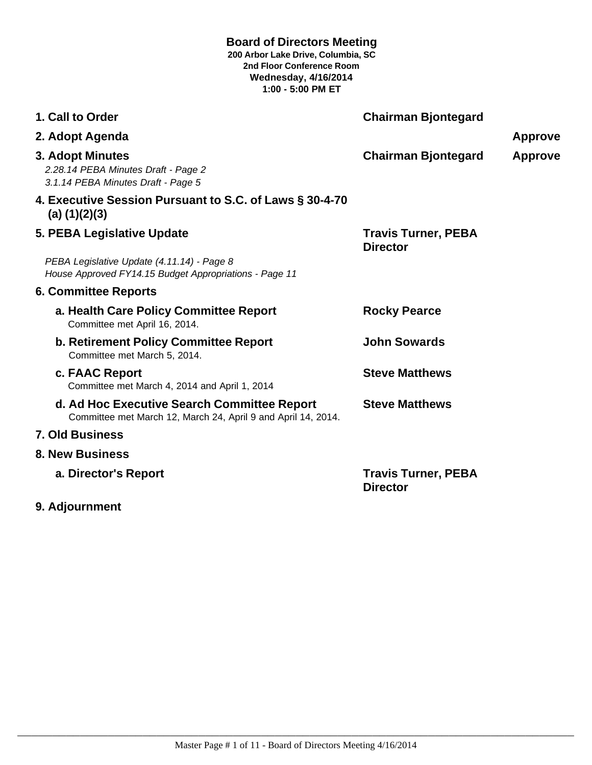### **Board of Directors Meeting**

**200 Arbor Lake Drive, Columbia, SC 2nd Floor Conference Room Wednesday, 4/16/2014 1:00 - 5:00 PM ET**

| 1. Call to Order                                                                                             | <b>Chairman Bjontegard</b>                    |                |
|--------------------------------------------------------------------------------------------------------------|-----------------------------------------------|----------------|
| 2. Adopt Agenda                                                                                              |                                               | <b>Approve</b> |
| 3. Adopt Minutes<br>2.28.14 PEBA Minutes Draft - Page 2<br>3.1.14 PEBA Minutes Draft - Page 5                | <b>Chairman Bjontegard</b>                    | <b>Approve</b> |
| 4. Executive Session Pursuant to S.C. of Laws § 30-4-70<br>(a) $(1)(2)(3)$                                   |                                               |                |
| 5. PEBA Legislative Update                                                                                   | <b>Travis Turner, PEBA</b><br><b>Director</b> |                |
| PEBA Legislative Update (4.11.14) - Page 8<br>House Approved FY14.15 Budget Appropriations - Page 11         |                                               |                |
| <b>6. Committee Reports</b>                                                                                  |                                               |                |
| a. Health Care Policy Committee Report<br>Committee met April 16, 2014.                                      | <b>Rocky Pearce</b>                           |                |
| <b>b. Retirement Policy Committee Report</b><br>Committee met March 5, 2014.                                 | <b>John Sowards</b>                           |                |
| c. FAAC Report<br>Committee met March 4, 2014 and April 1, 2014                                              | <b>Steve Matthews</b>                         |                |
| d. Ad Hoc Executive Search Committee Report<br>Committee met March 12, March 24, April 9 and April 14, 2014. | <b>Steve Matthews</b>                         |                |
| <b>7. Old Business</b>                                                                                       |                                               |                |
| <b>8. New Business</b>                                                                                       |                                               |                |
| a. Director's Report                                                                                         | <b>Travis Turner, PEBA</b><br><b>Director</b> |                |

**9. Adjournment**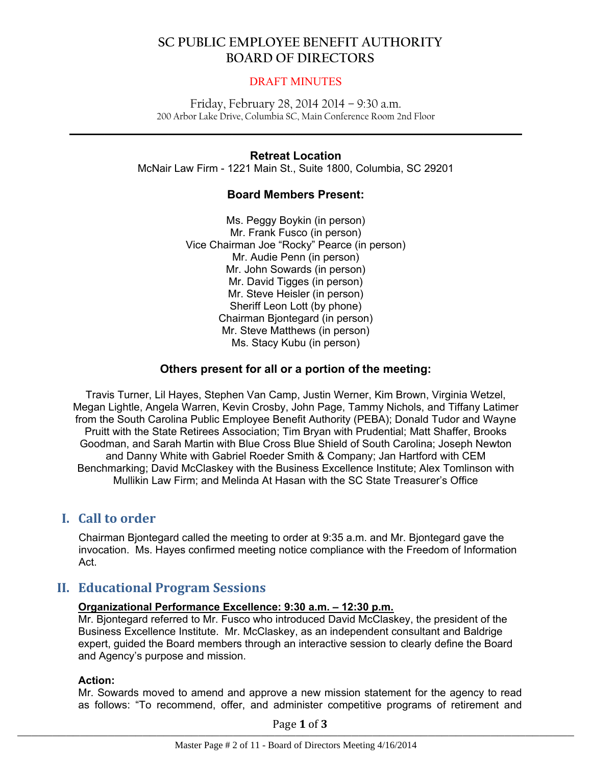### DRAFT MINUTES

Friday, February 28, 2014 2014 – 9:30 a.m. 200 Arbor Lake Drive, Columbia SC, Main Conference Room 2nd Floor

 $\mathcal{L}_\mathcal{L} = \mathcal{L}_\mathcal{L} = \mathcal{L}_\mathcal{L} = \mathcal{L}_\mathcal{L} = \mathcal{L}_\mathcal{L} = \mathcal{L}_\mathcal{L} = \mathcal{L}_\mathcal{L} = \mathcal{L}_\mathcal{L} = \mathcal{L}_\mathcal{L} = \mathcal{L}_\mathcal{L} = \mathcal{L}_\mathcal{L} = \mathcal{L}_\mathcal{L} = \mathcal{L}_\mathcal{L} = \mathcal{L}_\mathcal{L} = \mathcal{L}_\mathcal{L} = \mathcal{L}_\mathcal{L} = \mathcal{L}_\mathcal{L}$ 

### **Retreat Location**

McNair Law Firm - 1221 Main St., Suite 1800, Columbia, SC 29201

### **Board Members Present:**

Ms. Peggy Boykin (in person) Mr. Frank Fusco (in person) Vice Chairman Joe "Rocky" Pearce (in person) Mr. Audie Penn (in person) Mr. John Sowards (in person) Mr. David Tigges (in person) Mr. Steve Heisler (in person) Sheriff Leon Lott (by phone) Chairman Bjontegard (in person) Mr. Steve Matthews (in person) Ms. Stacy Kubu (in person)

### **Others present for all or a portion of the meeting:**

Travis Turner, Lil Hayes, Stephen Van Camp, Justin Werner, Kim Brown, Virginia Wetzel, Megan Lightle, Angela Warren, Kevin Crosby, John Page, Tammy Nichols, and Tiffany Latimer from the South Carolina Public Employee Benefit Authority (PEBA); Donald Tudor and Wayne Pruitt with the State Retirees Association; Tim Bryan with Prudential; Matt Shaffer, Brooks Goodman, and Sarah Martin with Blue Cross Blue Shield of South Carolina; Joseph Newton and Danny White with Gabriel Roeder Smith & Company; Jan Hartford with CEM Benchmarking; David McClaskey with the Business Excellence Institute; Alex Tomlinson with Mullikin Law Firm; and Melinda At Hasan with the SC State Treasurer's Office

# **I. Call to order**

Chairman Bjontegard called the meeting to order at 9:35 a.m. and Mr. Bjontegard gave the invocation. Ms. Hayes confirmed meeting notice compliance with the Freedom of Information Act.

# **II. Educational Program Sessions**

### **Organizational Performance Excellence: 9:30 a.m. – 12:30 p.m.**

Mr. Bjontegard referred to Mr. Fusco who introduced David McClaskey, the president of the Business Excellence Institute. Mr. McClaskey, as an independent consultant and Baldrige expert, guided the Board members through an interactive session to clearly define the Board and Agency's purpose and mission.

#### **Action:**

Mr. Sowards moved to amend and approve a new mission statement for the agency to read as follows: "To recommend, offer, and administer competitive programs of retirement and

Page **1** of **3**  $\frac{1}{1}$  agc  $\frac{1}{2}$  or  $\frac{1}{2}$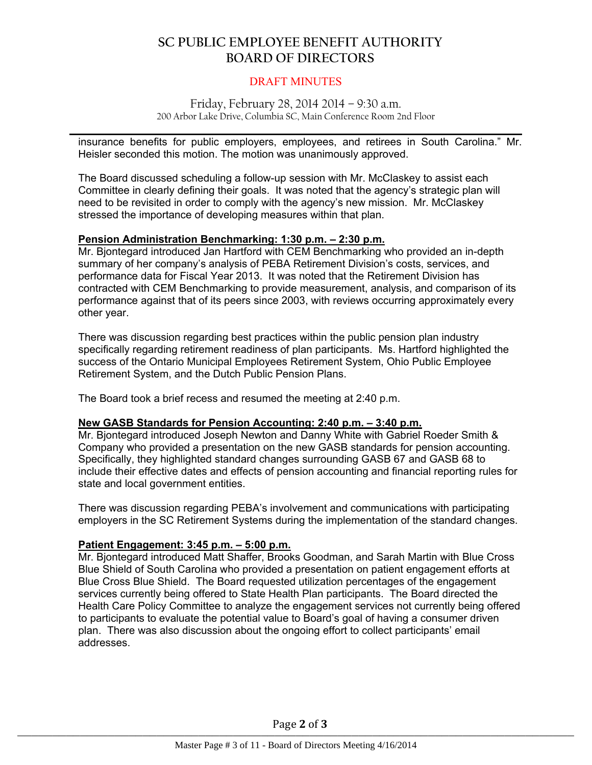### DRAFT MINUTES

#### Friday, February 28, 2014 2014 – 9:30 a.m. 200 Arbor Lake Drive, Columbia SC, Main Conference Room 2nd Floor

 $\mathcal{L}_\mathcal{L} = \mathcal{L}_\mathcal{L} = \mathcal{L}_\mathcal{L} = \mathcal{L}_\mathcal{L} = \mathcal{L}_\mathcal{L} = \mathcal{L}_\mathcal{L} = \mathcal{L}_\mathcal{L} = \mathcal{L}_\mathcal{L} = \mathcal{L}_\mathcal{L} = \mathcal{L}_\mathcal{L} = \mathcal{L}_\mathcal{L} = \mathcal{L}_\mathcal{L} = \mathcal{L}_\mathcal{L} = \mathcal{L}_\mathcal{L} = \mathcal{L}_\mathcal{L} = \mathcal{L}_\mathcal{L} = \mathcal{L}_\mathcal{L}$ 

insurance benefits for public employers, employees, and retirees in South Carolina." Mr. Heisler seconded this motion. The motion was unanimously approved.

The Board discussed scheduling a follow-up session with Mr. McClaskey to assist each Committee in clearly defining their goals. It was noted that the agency's strategic plan will need to be revisited in order to comply with the agency's new mission. Mr. McClaskey stressed the importance of developing measures within that plan.

#### **Pension Administration Benchmarking: 1:30 p.m. – 2:30 p.m.**

Mr. Bjontegard introduced Jan Hartford with CEM Benchmarking who provided an in-depth summary of her company's analysis of PEBA Retirement Division's costs, services, and performance data for Fiscal Year 2013. It was noted that the Retirement Division has contracted with CEM Benchmarking to provide measurement, analysis, and comparison of its performance against that of its peers since 2003, with reviews occurring approximately every other year.

There was discussion regarding best practices within the public pension plan industry specifically regarding retirement readiness of plan participants. Ms. Hartford highlighted the success of the Ontario Municipal Employees Retirement System, Ohio Public Employee Retirement System, and the Dutch Public Pension Plans.

The Board took a brief recess and resumed the meeting at 2:40 p.m.

#### **New GASB Standards for Pension Accounting: 2:40 p.m. – 3:40 p.m.**

Mr. Bjontegard introduced Joseph Newton and Danny White with Gabriel Roeder Smith & Company who provided a presentation on the new GASB standards for pension accounting. Specifically, they highlighted standard changes surrounding GASB 67 and GASB 68 to include their effective dates and effects of pension accounting and financial reporting rules for state and local government entities.

There was discussion regarding PEBA's involvement and communications with participating employers in the SC Retirement Systems during the implementation of the standard changes.

#### **Patient Engagement: 3:45 p.m. – 5:00 p.m.**

Mr. Bjontegard introduced Matt Shaffer, Brooks Goodman, and Sarah Martin with Blue Cross Blue Shield of South Carolina who provided a presentation on patient engagement efforts at Blue Cross Blue Shield. The Board requested utilization percentages of the engagement services currently being offered to State Health Plan participants. The Board directed the Health Care Policy Committee to analyze the engagement services not currently being offered to participants to evaluate the potential value to Board's goal of having a consumer driven plan. There was also discussion about the ongoing effort to collect participants' email addresses.

Page **2** of **3**  $\frac{1}{1}$  agc  $\frac{1}{2}$  or  $\frac{1}{2}$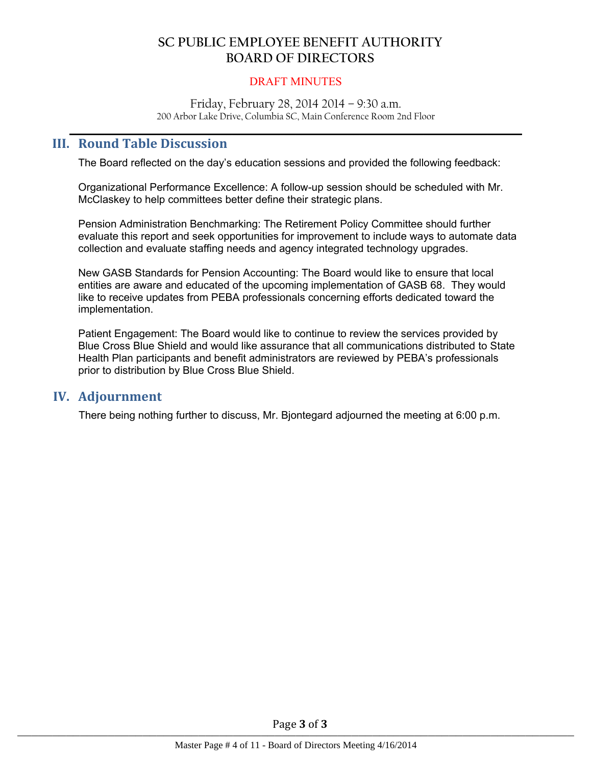### DRAFT MINUTES

Friday, February 28, 2014 2014 – 9:30 a.m. 200 Arbor Lake Drive, Columbia SC, Main Conference Room 2nd Floor

 $\mathcal{L}_\mathcal{L} = \mathcal{L}_\mathcal{L} = \mathcal{L}_\mathcal{L} = \mathcal{L}_\mathcal{L} = \mathcal{L}_\mathcal{L} = \mathcal{L}_\mathcal{L} = \mathcal{L}_\mathcal{L} = \mathcal{L}_\mathcal{L} = \mathcal{L}_\mathcal{L} = \mathcal{L}_\mathcal{L} = \mathcal{L}_\mathcal{L} = \mathcal{L}_\mathcal{L} = \mathcal{L}_\mathcal{L} = \mathcal{L}_\mathcal{L} = \mathcal{L}_\mathcal{L} = \mathcal{L}_\mathcal{L} = \mathcal{L}_\mathcal{L}$ 

## **III. Round Table Discussion**

The Board reflected on the day's education sessions and provided the following feedback:

Organizational Performance Excellence: A follow-up session should be scheduled with Mr. McClaskey to help committees better define their strategic plans.

Pension Administration Benchmarking: The Retirement Policy Committee should further evaluate this report and seek opportunities for improvement to include ways to automate data collection and evaluate staffing needs and agency integrated technology upgrades.

New GASB Standards for Pension Accounting: The Board would like to ensure that local entities are aware and educated of the upcoming implementation of GASB 68. They would like to receive updates from PEBA professionals concerning efforts dedicated toward the implementation.

Patient Engagement: The Board would like to continue to review the services provided by Blue Cross Blue Shield and would like assurance that all communications distributed to State Health Plan participants and benefit administrators are reviewed by PEBA's professionals prior to distribution by Blue Cross Blue Shield.

### **IV. Adjournment**

There being nothing further to discuss, Mr. Bjontegard adjourned the meeting at 6:00 p.m.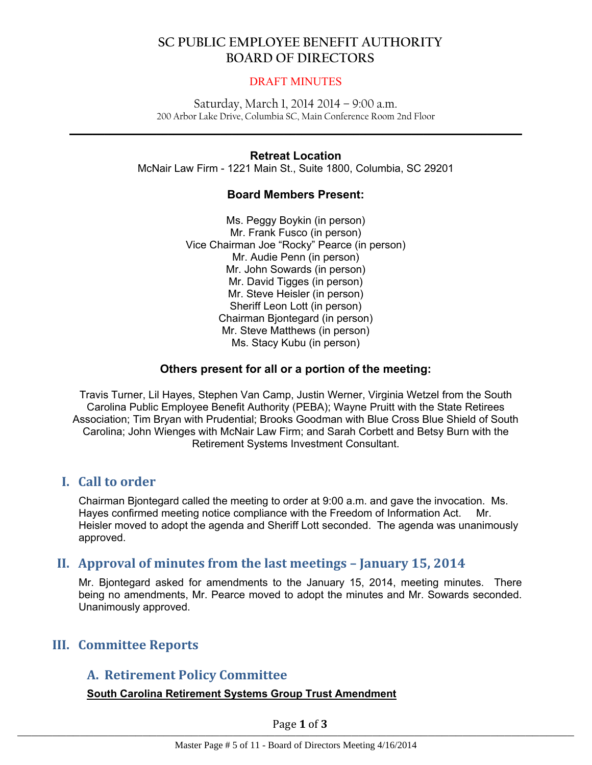### DRAFT MINUTES

Saturday, March 1, 2014 2014 – 9:00 a.m. 200 Arbor Lake Drive, Columbia SC, Main Conference Room 2nd Floor

 $\mathcal{L}_\mathcal{L} = \mathcal{L}_\mathcal{L} = \mathcal{L}_\mathcal{L} = \mathcal{L}_\mathcal{L} = \mathcal{L}_\mathcal{L} = \mathcal{L}_\mathcal{L} = \mathcal{L}_\mathcal{L} = \mathcal{L}_\mathcal{L} = \mathcal{L}_\mathcal{L} = \mathcal{L}_\mathcal{L} = \mathcal{L}_\mathcal{L} = \mathcal{L}_\mathcal{L} = \mathcal{L}_\mathcal{L} = \mathcal{L}_\mathcal{L} = \mathcal{L}_\mathcal{L} = \mathcal{L}_\mathcal{L} = \mathcal{L}_\mathcal{L}$ 

### **Retreat Location**

McNair Law Firm - 1221 Main St., Suite 1800, Columbia, SC 29201

### **Board Members Present:**

Ms. Peggy Boykin (in person) Mr. Frank Fusco (in person) Vice Chairman Joe "Rocky" Pearce (in person) Mr. Audie Penn (in person) Mr. John Sowards (in person) Mr. David Tigges (in person) Mr. Steve Heisler (in person) Sheriff Leon Lott (in person) Chairman Bjontegard (in person) Mr. Steve Matthews (in person) Ms. Stacy Kubu (in person)

### **Others present for all or a portion of the meeting:**

Travis Turner, Lil Hayes, Stephen Van Camp, Justin Werner, Virginia Wetzel from the South Carolina Public Employee Benefit Authority (PEBA); Wayne Pruitt with the State Retirees Association; Tim Bryan with Prudential; Brooks Goodman with Blue Cross Blue Shield of South Carolina; John Wienges with McNair Law Firm; and Sarah Corbett and Betsy Burn with the Retirement Systems Investment Consultant.

# **I. Call to order**

Chairman Bjontegard called the meeting to order at 9:00 a.m. and gave the invocation. Ms. Hayes confirmed meeting notice compliance with the Freedom of Information Act. Mr. Heisler moved to adopt the agenda and Sheriff Lott seconded. The agenda was unanimously approved.

# **II. Approval of minutes from the last meetings – January 15, 2014**

Mr. Bjontegard asked for amendments to the January 15, 2014, meeting minutes. There being no amendments, Mr. Pearce moved to adopt the minutes and Mr. Sowards seconded. Unanimously approved.

# **III. Committee Reports**

# **A. Retirement Policy Committee**

### **South Carolina Retirement Systems Group Trust Amendment**

Page **1** of **3**  $\frac{1}{1}$  agc  $\frac{1}{2}$  or  $\frac{1}{2}$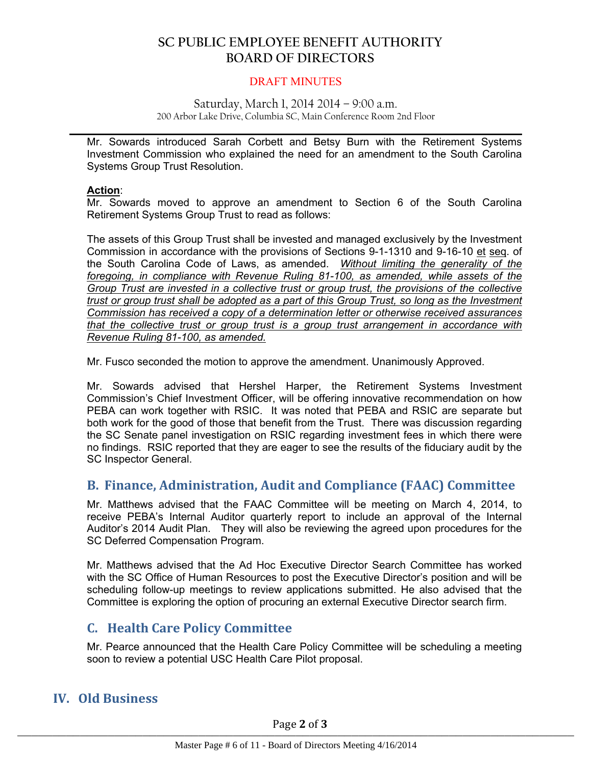#### DRAFT MINUTES

#### Saturday, March 1, 2014 2014 – 9:00 a.m. 200 Arbor Lake Drive, Columbia SC, Main Conference Room 2nd Floor

 $\mathcal{L}_\mathcal{L} = \mathcal{L}_\mathcal{L} = \mathcal{L}_\mathcal{L} = \mathcal{L}_\mathcal{L} = \mathcal{L}_\mathcal{L} = \mathcal{L}_\mathcal{L} = \mathcal{L}_\mathcal{L} = \mathcal{L}_\mathcal{L} = \mathcal{L}_\mathcal{L} = \mathcal{L}_\mathcal{L} = \mathcal{L}_\mathcal{L} = \mathcal{L}_\mathcal{L} = \mathcal{L}_\mathcal{L} = \mathcal{L}_\mathcal{L} = \mathcal{L}_\mathcal{L} = \mathcal{L}_\mathcal{L} = \mathcal{L}_\mathcal{L}$ 

Mr. Sowards introduced Sarah Corbett and Betsy Burn with the Retirement Systems Investment Commission who explained the need for an amendment to the South Carolina Systems Group Trust Resolution.

#### **Action**:

Mr. Sowards moved to approve an amendment to Section 6 of the South Carolina Retirement Systems Group Trust to read as follows:

The assets of this Group Trust shall be invested and managed exclusively by the Investment Commission in accordance with the provisions of Sections 9-1-1310 and 9-16-10 et seq. of the South Carolina Code of Laws, as amended. *Without limiting the generality of the foregoing, in compliance with Revenue Ruling 81-100, as amended, while assets of the Group Trust are invested in a collective trust or group trust, the provisions of the collective* trust or group trust shall be adopted as a part of this Group Trust, so long as the Investment *Commission has received a copy of a determination letter or otherwise received assurances that the collective trust or group trust is a group trust arrangement in accordance with Revenue Ruling 81-100, as amended.*

Mr. Fusco seconded the motion to approve the amendment. Unanimously Approved.

Mr. Sowards advised that Hershel Harper, the Retirement Systems Investment Commission's Chief Investment Officer, will be offering innovative recommendation on how PEBA can work together with RSIC. It was noted that PEBA and RSIC are separate but both work for the good of those that benefit from the Trust. There was discussion regarding the SC Senate panel investigation on RSIC regarding investment fees in which there were no findings. RSIC reported that they are eager to see the results of the fiduciary audit by the SC Inspector General.

# **B. Finance, Administration, Audit and Compliance (FAAC) Committee**

Mr. Matthews advised that the FAAC Committee will be meeting on March 4, 2014, to receive PEBA's Internal Auditor quarterly report to include an approval of the Internal Auditor's 2014 Audit Plan. They will also be reviewing the agreed upon procedures for the SC Deferred Compensation Program.

Mr. Matthews advised that the Ad Hoc Executive Director Search Committee has worked with the SC Office of Human Resources to post the Executive Director's position and will be scheduling follow-up meetings to review applications submitted. He also advised that the Committee is exploring the option of procuring an external Executive Director search firm.

# **C. Health Care Policy Committee**

Mr. Pearce announced that the Health Care Policy Committee will be scheduling a meeting soon to review a potential USC Health Care Pilot proposal.

# **IV. Old Business**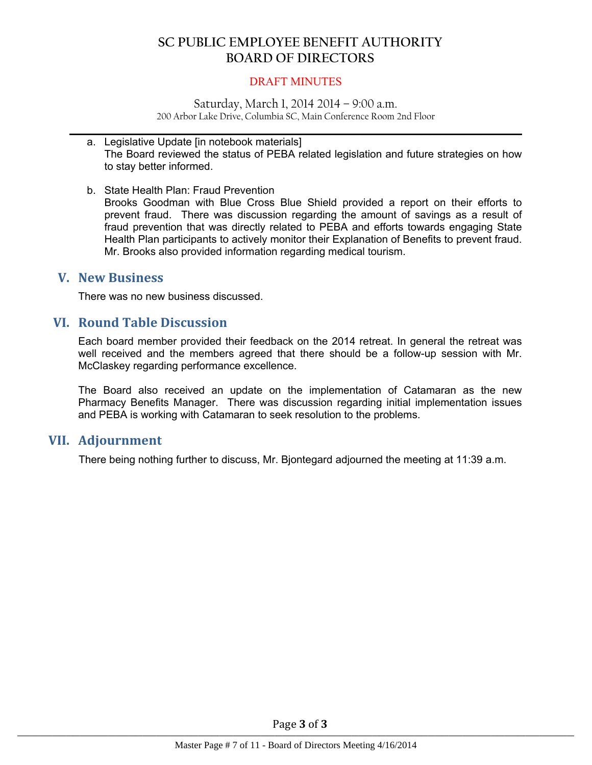#### DRAFT MINUTES

Saturday, March 1, 2014 2014 – 9:00 a.m. 200 Arbor Lake Drive, Columbia SC, Main Conference Room 2nd Floor

 $\mathcal{L}_\mathcal{L} = \mathcal{L}_\mathcal{L} = \mathcal{L}_\mathcal{L} = \mathcal{L}_\mathcal{L} = \mathcal{L}_\mathcal{L} = \mathcal{L}_\mathcal{L} = \mathcal{L}_\mathcal{L} = \mathcal{L}_\mathcal{L} = \mathcal{L}_\mathcal{L} = \mathcal{L}_\mathcal{L} = \mathcal{L}_\mathcal{L} = \mathcal{L}_\mathcal{L} = \mathcal{L}_\mathcal{L} = \mathcal{L}_\mathcal{L} = \mathcal{L}_\mathcal{L} = \mathcal{L}_\mathcal{L} = \mathcal{L}_\mathcal{L}$ 

- a. Legislative Update [in notebook materials] The Board reviewed the status of PEBA related legislation and future strategies on how to stay better informed.
- b. State Health Plan: Fraud Prevention

Brooks Goodman with Blue Cross Blue Shield provided a report on their efforts to prevent fraud. There was discussion regarding the amount of savings as a result of fraud prevention that was directly related to PEBA and efforts towards engaging State Health Plan participants to actively monitor their Explanation of Benefits to prevent fraud. Mr. Brooks also provided information regarding medical tourism.

### **V. New Business**

There was no new business discussed.

## **VI. Round Table Discussion**

Each board member provided their feedback on the 2014 retreat. In general the retreat was well received and the members agreed that there should be a follow-up session with Mr. McClaskey regarding performance excellence.

The Board also received an update on the implementation of Catamaran as the new Pharmacy Benefits Manager. There was discussion regarding initial implementation issues and PEBA is working with Catamaran to seek resolution to the problems.

### **VII. Adjournment**

There being nothing further to discuss, Mr. Bjontegard adjourned the meeting at 11:39 a.m.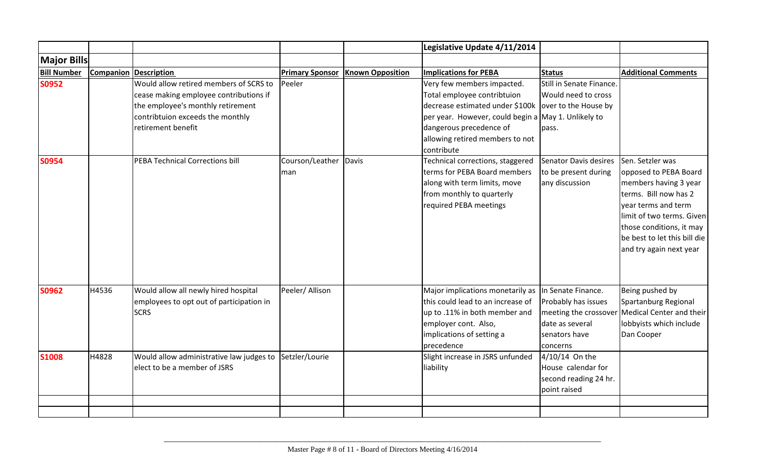|                    |       |                                          |                        |                         | Legislative Update 4/11/2014                         |                          |                                                |
|--------------------|-------|------------------------------------------|------------------------|-------------------------|------------------------------------------------------|--------------------------|------------------------------------------------|
| <b>Major Bills</b> |       |                                          |                        |                         |                                                      |                          |                                                |
| <b>Bill Number</b> |       | <b>Companion Description</b>             | <b>Primary Sponsor</b> | <b>Known Opposition</b> | <b>Implications for PEBA</b>                         | <b>Status</b>            | <b>Additional Comments</b>                     |
| <b>S0952</b>       |       | Would allow retired members of SCRS to   | Peeler                 |                         | Very few members impacted.                           | Still in Senate Finance. |                                                |
|                    |       | cease making employee contributions if   |                        |                         | Total employee contribtuion                          | Would need to cross      |                                                |
|                    |       | the employee's monthly retirement        |                        |                         | decrease estimated under \$100k over to the House by |                          |                                                |
|                    |       | contribtuion exceeds the monthly         |                        |                         | per year. However, could begin a May 1. Unlikely to  |                          |                                                |
|                    |       | retirement benefit                       |                        |                         | dangerous precedence of                              | pass.                    |                                                |
|                    |       |                                          |                        |                         | allowing retired members to not                      |                          |                                                |
|                    |       |                                          |                        |                         | contribute                                           |                          |                                                |
| <b>S0954</b>       |       | PEBA Technical Corrections bill          | Courson/Leather        | Davis                   | Technical corrections, staggered                     | Senator Davis desires    | Sen. Setzler was                               |
|                    |       |                                          | man                    |                         | terms for PEBA Board members                         | to be present during     | opposed to PEBA Board                          |
|                    |       |                                          |                        |                         | along with term limits, move                         | any discussion           | members having 3 year                          |
|                    |       |                                          |                        |                         | from monthly to quarterly                            |                          | terms. Bill now has 2                          |
|                    |       |                                          |                        |                         | required PEBA meetings                               |                          | vear terms and term                            |
|                    |       |                                          |                        |                         |                                                      |                          | limit of two terms. Given                      |
|                    |       |                                          |                        |                         |                                                      |                          | those conditions, it may                       |
|                    |       |                                          |                        |                         |                                                      |                          | be best to let this bill die                   |
|                    |       |                                          |                        |                         |                                                      |                          | and try again next year                        |
|                    |       |                                          |                        |                         |                                                      |                          |                                                |
|                    |       |                                          |                        |                         |                                                      |                          |                                                |
| <b>S0962</b>       | H4536 | Would allow all newly hired hospital     | Peeler/ Allison        |                         | Major implications monetarily as                     | In Senate Finance.       | Being pushed by                                |
|                    |       | employees to opt out of participation in |                        |                         | this could lead to an increase of                    | Probably has issues      | Spartanburg Regional                           |
|                    |       | <b>SCRS</b>                              |                        |                         | up to .11% in both member and                        |                          | meeting the crossover Medical Center and their |
|                    |       |                                          |                        |                         | employer cont. Also,                                 | date as several          | lobbyists which include                        |
|                    |       |                                          |                        |                         | implications of setting a                            | senators have            | Dan Cooper                                     |
|                    |       |                                          |                        |                         | precedence                                           | concerns                 |                                                |
| <b>S1008</b>       | H4828 | Would allow administrative law judges to | Setzler/Lourie         |                         | Slight increase in JSRS unfunded                     | 4/10/14 On the           |                                                |
|                    |       | elect to be a member of JSRS             |                        |                         | liability                                            | House calendar for       |                                                |
|                    |       |                                          |                        |                         |                                                      | second reading 24 hr.    |                                                |
|                    |       |                                          |                        |                         |                                                      | point raised             |                                                |
|                    |       |                                          |                        |                         |                                                      |                          |                                                |
|                    |       |                                          |                        |                         |                                                      |                          |                                                |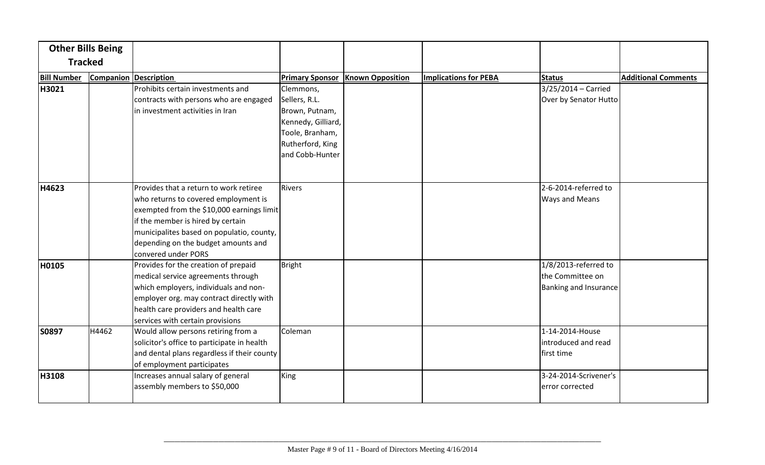|                    | <b>Other Bills Being</b> |                                                                                                                                                                                                                                                                             |                                                                                       |                         |                              |                                                                      |                            |
|--------------------|--------------------------|-----------------------------------------------------------------------------------------------------------------------------------------------------------------------------------------------------------------------------------------------------------------------------|---------------------------------------------------------------------------------------|-------------------------|------------------------------|----------------------------------------------------------------------|----------------------------|
|                    | <b>Tracked</b>           |                                                                                                                                                                                                                                                                             |                                                                                       |                         |                              |                                                                      |                            |
| <b>Bill Number</b> |                          | <b>Companion Description</b>                                                                                                                                                                                                                                                | <b>Primary Sponsor</b>                                                                | <b>Known Opposition</b> | <b>Implications for PEBA</b> | Status                                                               | <b>Additional Comments</b> |
| H3021              |                          | Prohibits certain investments and<br>contracts with persons who are engaged<br>in investment activities in Iran                                                                                                                                                             | Clemmons,<br>Sellers, R.L.<br>Brown, Putnam,<br>Kennedy, Gilliard,<br>Toole, Branham, |                         |                              | $3/25/2014 -$ Carried<br>Over by Senator Hutto                       |                            |
|                    |                          |                                                                                                                                                                                                                                                                             | Rutherford, King<br>and Cobb-Hunter                                                   |                         |                              |                                                                      |                            |
| H4623              |                          | Provides that a return to work retiree<br>who returns to covered employment is<br>exempted from the \$10,000 earnings limit<br>if the member is hired by certain<br>municipalites based on populatio, county,<br>depending on the budget amounts and<br>convered under PORS | Rivers                                                                                |                         |                              | 2-6-2014-referred to<br><b>Ways and Means</b>                        |                            |
| H0105              |                          | Provides for the creation of prepaid<br>medical service agreements through<br>which employers, individuals and non-<br>employer org. may contract directly with<br>health care providers and health care<br>services with certain provisions                                | Bright                                                                                |                         |                              | $1/8/2013$ -referred to<br>the Committee on<br>Banking and Insurance |                            |
| S0897              | H4462                    | Would allow persons retiring from a<br>solicitor's office to participate in health<br>and dental plans regardless if their county<br>of employment participates                                                                                                             | Coleman                                                                               |                         |                              | 1-14-2014-House<br>introduced and read<br>first time                 |                            |
| H3108              |                          | Increases annual salary of general<br>assembly members to \$50,000                                                                                                                                                                                                          | King                                                                                  |                         |                              | 3-24-2014-Scrivener's<br>error corrected                             |                            |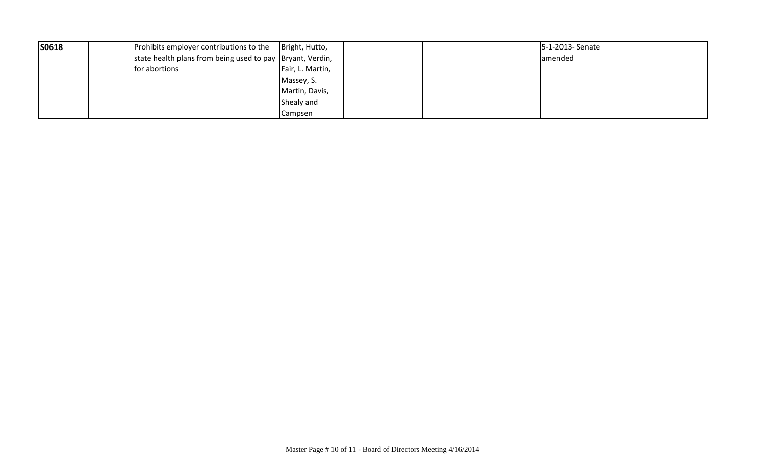| S0618 | Prohibits employer contributions to the                    | Bright, Hutto,   | 5-1-2013- Senate |
|-------|------------------------------------------------------------|------------------|------------------|
|       | state health plans from being used to pay  Bryant, Verdin, |                  | amended          |
|       | for abortions                                              | Fair, L. Martin, |                  |
|       |                                                            | Massey, S.       |                  |
|       |                                                            | Martin, Davis,   |                  |
|       |                                                            | Shealy and       |                  |
|       |                                                            | Campsen          |                  |